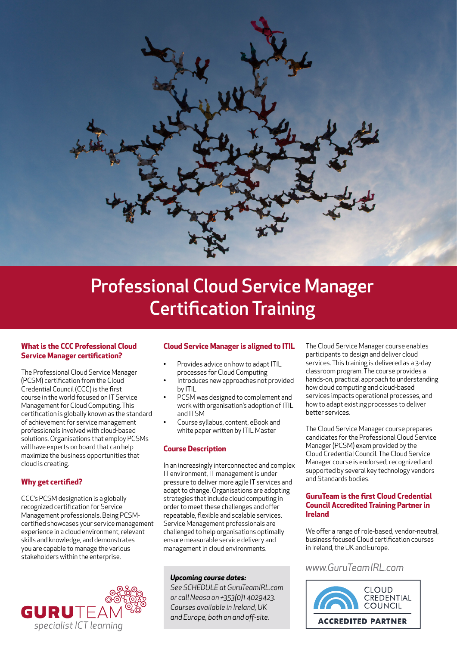

# [Professional Cloud Service Manager](http://www.guruteamirl.com/ccc-cloud-service-manager-certification-training-gtc13/)  [Certification Training](http://www.guruteamirl.com/ccc-cloud-service-manager-certification-training-gtc13/)

#### **[What is the CCC Professional Cloud](http://www.guruteamirl.com/ccc-cloud-service-manager-certification-training-gtc13/)  [Service Manager certification?](http://www.guruteamirl.com/ccc-cloud-service-manager-certification-training-gtc13/)**

The Professional Cloud Service Manager (PCSM) certification from the Cloud Credential Council (CCC) is the first course in the world focused on IT Service Management for Cloud Computing. This certification is globally known as the standard of achievement for service management professionals involved with cloud-based solutions. Organisations that employ PCSMs will have experts on board that can help maximize the business opportunities that cloud is creating.

# **[Why get certified?](http://www.guruteamirl.com/ccc-cloud-service-manager-certification-training-gtc13/)**

CCC's PCSM designation is a globally recognized certification for Service Management professionals. Being PCSMcertified showcases your service management experience in a cloud environment, relevant skills and knowledge, and demonstrates you are capable to manage the various stakeholders within the enterprise.



# **[Cloud Service Manager is aligned to ITIL](http://www.guruteamirl.com/ccc-cloud-service-manager-certification-training-gtc13/)**

- Provides advice on how to adapt ITIL processes for Cloud Computing
- Introduces new approaches not provided by ITIL
- PCSM was designed to complement and work with organisation's adoption of ITIL and ITSM
- Course syllabus, content, eBook and white paper written by ITIL Master

## **[Course Description](http://www.guruteamirl.com/ccc-cloud-service-manager-certification-training-gtc13/)**

In an increasingly interconnected and complex IT environment, IT management is under pressure to deliver more agile IT services and adapt to change. Organisations are adopting strategies that include cloud computing in order to meet these challenges and offer repeatable, flexible and scalable services. Service Management professionals are challenged to help organisations optimally ensure measurable service delivery and management in cloud environments.

## *Upcoming course dates:*

*[See SCHEDULE at GuruTeamIRL.com](https://www.guruteamirl.com/training/schedule.223.html)  or call Neasa on +353(0)1 4029423. Courses available in Ireland, UK and Europe, both on and off-site.*

The Cloud Service Manager course enables participants to design and deliver cloud services. This training is delivered as a 3-day classroom program. The course provides a hands-on, practical approach to understanding how cloud computing and cloud-based services impacts operational processes, and how to adapt existing processes to deliver better services.

The Cloud Service Manager course prepares candidates for the Professional Cloud Service Manager (PCSM) exam provided by the Cloud Credential Council. The Cloud Service Manager course is endorsed, recognized and supported by several key technology vendors and Standards bodies.

#### **[GuruTeam is the first Cloud Credential](http://www.guruteamirl.com/ccc-cloud-service-manager-certification-training-gtc13/)  [Council Accredited Training Partner in](http://www.guruteamirl.com/ccc-cloud-service-manager-certification-training-gtc13/)  [Ireland](http://www.guruteamirl.com/ccc-cloud-service-manager-certification-training-gtc13/)**

We offer a range of role-based, vendor-neutral, business focused Cloud certification courses in Ireland, the UK and Europe.

# www.GuruTeamIRL.com